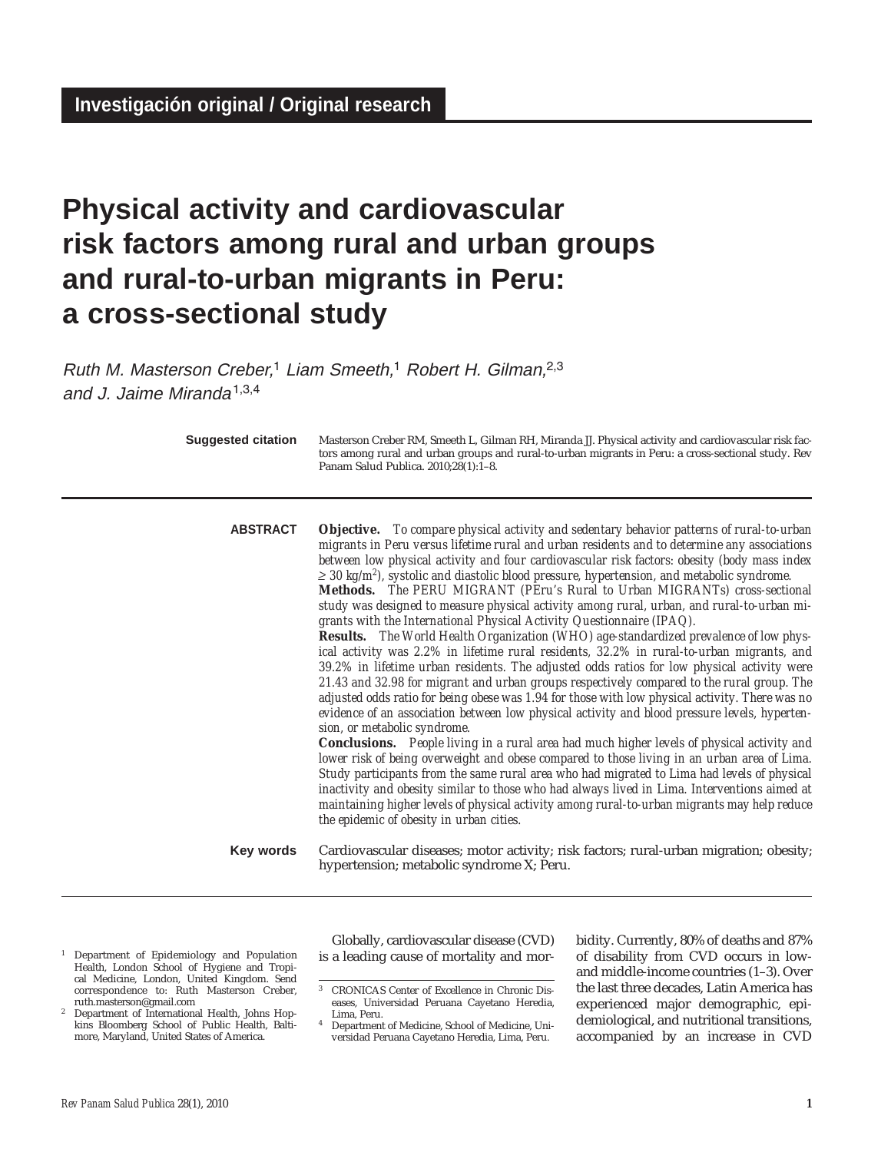# **Physical activity and cardiovascular risk factors among rural and urban groups and rural-to-urban migrants in Peru: a cross-sectional study**

Ruth M. Masterson Creber,<sup>1</sup> Liam Smeeth,<sup>1</sup> Robert H. Gilman,<sup>2,3</sup> and J. Jaime Miranda1,3,4

| <b>Suggested citation</b> | Masterson Creber RM, Smeeth L, Gilman RH, Miranda JJ. Physical activity and cardiovascular risk fac-<br>tors among rural and urban groups and rural-to-urban migrants in Peru: a cross-sectional study. Rev<br>Panam Salud Publica. 2010;28(1):1-8.                                                                                                                                                                                                                                                                                                                                                                                                                                                                                                                                                                                                                                                                                                                                                                                                                                                                                                                                                                                                                                                                                                                                                                                                                                                                                                                                                                                                                                                                                                                                                                                       |
|---------------------------|-------------------------------------------------------------------------------------------------------------------------------------------------------------------------------------------------------------------------------------------------------------------------------------------------------------------------------------------------------------------------------------------------------------------------------------------------------------------------------------------------------------------------------------------------------------------------------------------------------------------------------------------------------------------------------------------------------------------------------------------------------------------------------------------------------------------------------------------------------------------------------------------------------------------------------------------------------------------------------------------------------------------------------------------------------------------------------------------------------------------------------------------------------------------------------------------------------------------------------------------------------------------------------------------------------------------------------------------------------------------------------------------------------------------------------------------------------------------------------------------------------------------------------------------------------------------------------------------------------------------------------------------------------------------------------------------------------------------------------------------------------------------------------------------------------------------------------------------|
| <b>ABSTRACT</b>           | <b>Objective.</b> To compare physical activity and sedentary behavior patterns of rural-to-urban<br>migrants in Peru versus lifetime rural and urban residents and to determine any associations<br>between low physical activity and four cardiovascular risk factors: obesity (body mass index<br>$\geq$ 30 kg/m <sup>2</sup> ), systolic and diastolic blood pressure, hypertension, and metabolic syndrome.<br>Methods. The PERU MIGRANT (PEru's Rural to Urban MIGRANTs) cross-sectional<br>study was designed to measure physical activity among rural, urban, and rural-to-urban mi-<br>grants with the International Physical Activity Questionnaire (IPAQ).<br>Results. The World Health Organization (WHO) age-standardized prevalence of low phys-<br>ical activity was 2.2% in lifetime rural residents, 32.2% in rural-to-urban migrants, and<br>39.2% in lifetime urban residents. The adjusted odds ratios for low physical activity were<br>21.43 and 32.98 for migrant and urban groups respectively compared to the rural group. The<br>adjusted odds ratio for being obese was 1.94 for those with low physical activity. There was no<br>evidence of an association between low physical activity and blood pressure levels, hyperten-<br>sion, or metabolic syndrome.<br><b>Conclusions.</b> People living in a rural area had much higher levels of physical activity and<br>lower risk of being overweight and obese compared to those living in an urban area of Lima.<br>Study participants from the same rural area who had migrated to Lima had levels of physical<br>inactivity and obesity similar to those who had always lived in Lima. Interventions aimed at<br>maintaining higher levels of physical activity among rural-to-urban migrants may help reduce<br>the epidemic of obesity in urban cities. |
| <b>Key words</b>          | Cardiovascular diseases; motor activity; risk factors; rural-urban migration; obesity;<br>hypertension; metabolic syndrome X; Peru.                                                                                                                                                                                                                                                                                                                                                                                                                                                                                                                                                                                                                                                                                                                                                                                                                                                                                                                                                                                                                                                                                                                                                                                                                                                                                                                                                                                                                                                                                                                                                                                                                                                                                                       |
|                           |                                                                                                                                                                                                                                                                                                                                                                                                                                                                                                                                                                                                                                                                                                                                                                                                                                                                                                                                                                                                                                                                                                                                                                                                                                                                                                                                                                                                                                                                                                                                                                                                                                                                                                                                                                                                                                           |

- <sup>1</sup> Department of Epidemiology and Population Health, London School of Hygiene and Tropical Medicine, London, United Kingdom. Send correspondence to: Ruth Masterson Creber, ruth.masterson@gmail.com
- <sup>2</sup> Department of International Health, Johns Hopkins Bloomberg School of Public Health, Baltimore, Maryland, United States of America.

Globally, cardiovascular disease (CVD) is a leading cause of mortality and mor-

bidity. Currently, 80% of deaths and 87% of disability from CVD occurs in lowand middle-income countries (1–3). Over the last three decades, Latin America has experienced major demographic, epidemiological, and nutritional transitions, accompanied by an increase in CVD

<sup>3</sup> CRONICAS Center of Excellence in Chronic Diseases, Universidad Peruana Cayetano Heredia, Lima, Peru.

<sup>4</sup> Department of Medicine, School of Medicine, Universidad Peruana Cayetano Heredia, Lima, Peru.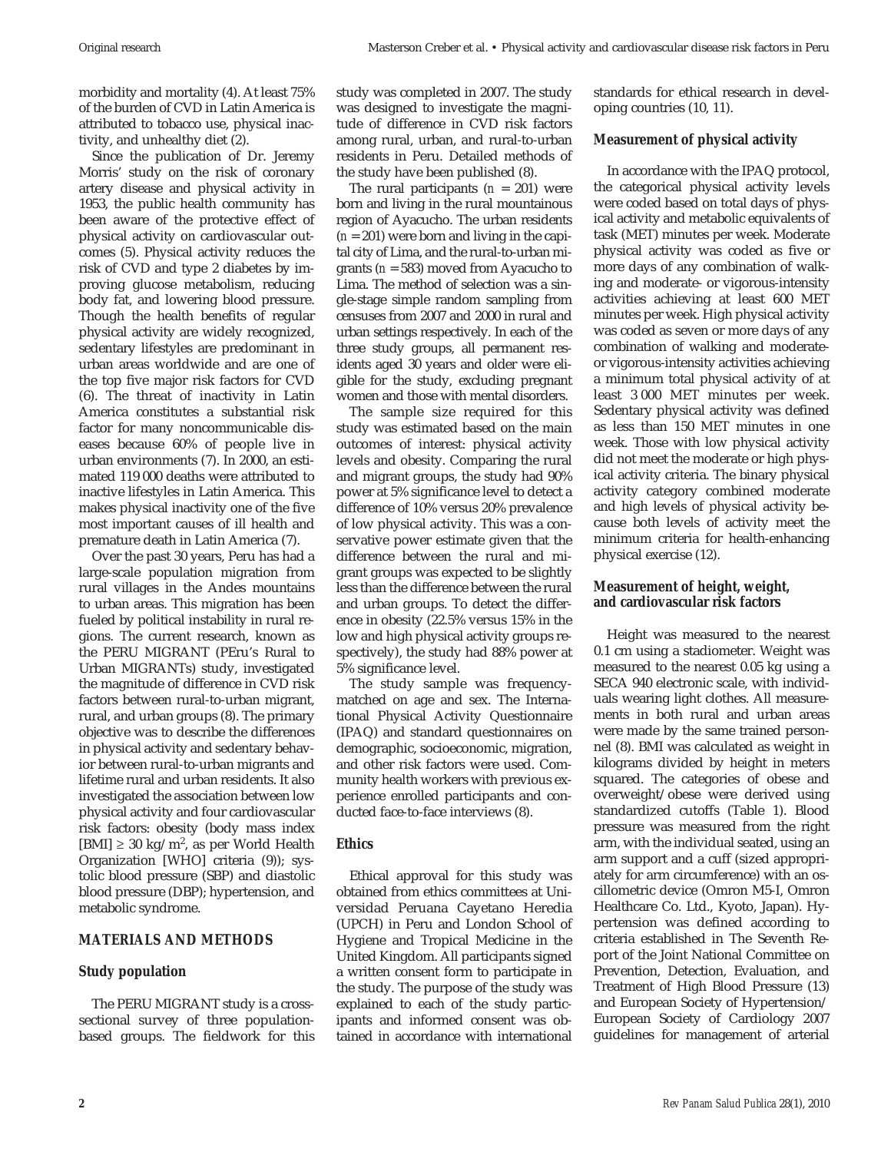morbidity and mortality (4). At least 75% of the burden of CVD in Latin America is attributed to tobacco use, physical inactivity, and unhealthy diet (2).

Since the publication of Dr. Jeremy Morris' study on the risk of coronary artery disease and physical activity in 1953, the public health community has been aware of the protective effect of physical activity on cardiovascular outcomes (5). Physical activity reduces the risk of CVD and type 2 diabetes by improving glucose metabolism, reducing body fat, and lowering blood pressure. Though the health benefits of regular physical activity are widely recognized, sedentary lifestyles are predominant in urban areas worldwide and are one of the top five major risk factors for CVD (6). The threat of inactivity in Latin America constitutes a substantial risk factor for many noncommunicable diseases because 60% of people live in urban environments (7). In 2000, an estimated 119 000 deaths were attributed to inactive lifestyles in Latin America. This makes physical inactivity one of the five most important causes of ill health and premature death in Latin America (7).

Over the past 30 years, Peru has had a large-scale population migration from rural villages in the Andes mountains to urban areas. This migration has been fueled by political instability in rural regions. The current research, known as the PERU MIGRANT (PEru's Rural to Urban MIGRANTs) study, investigated the magnitude of difference in CVD risk factors between rural-to-urban migrant, rural, and urban groups (8). The primary objective was to describe the differences in physical activity and sedentary behavior between rural-to-urban migrants and lifetime rural and urban residents. It also investigated the association between low physical activity and four cardiovascular risk factors: obesity (body mass index [BMI]  $\geq 30 \text{ kg/m}^2$ , as per World Health Organization [WHO] criteria (9)); systolic blood pressure (SBP) and diastolic blood pressure (DBP); hypertension, and metabolic syndrome.

#### **MATERIALS AND METHODS**

#### **Study population**

The PERU MIGRANT study is a crosssectional survey of three populationbased groups. The fieldwork for this study was completed in 2007. The study was designed to investigate the magnitude of difference in CVD risk factors among rural, urban, and rural-to-urban residents in Peru. Detailed methods of the study have been published (8).

The rural participants  $(n = 201)$  were born and living in the rural mountainous region of Ayacucho. The urban residents (*n* = 201) were born and living in the capital city of Lima, and the rural-to-urban migrants (*n* = 583) moved from Ayacucho to Lima. The method of selection was a single-stage simple random sampling from censuses from 2007 and 2000 in rural and urban settings respectively. In each of the three study groups, all permanent residents aged 30 years and older were eligible for the study, excluding pregnant women and those with mental disorders.

The sample size required for this study was estimated based on the main outcomes of interest: physical activity levels and obesity. Comparing the rural and migrant groups, the study had 90% power at 5% significance level to detect a difference of 10% versus 20% prevalence of low physical activity. This was a conservative power estimate given that the difference between the rural and migrant groups was expected to be slightly less than the difference between the rural and urban groups. To detect the difference in obesity (22.5% versus 15% in the low and high physical activity groups respectively), the study had 88% power at 5% significance level.

The study sample was frequencymatched on age and sex. The International Physical Activity Questionnaire (IPAQ) and standard questionnaires on demographic, socioeconomic, migration, and other risk factors were used. Community health workers with previous experience enrolled participants and conducted face-to-face interviews (8).

#### **Ethics**

Ethical approval for this study was obtained from ethics committees at Universidad Peruana Cayetano Heredia (UPCH) in Peru and London School of Hygiene and Tropical Medicine in the United Kingdom. All participants signed a written consent form to participate in the study. The purpose of the study was explained to each of the study participants and informed consent was obtained in accordance with international standards for ethical research in developing countries (10, 11).

### **Measurement of physical activity**

In accordance with the IPAQ protocol, the categorical physical activity levels were coded based on total days of physical activity and metabolic equivalents of task (MET) minutes per week. Moderate physical activity was coded as five or more days of any combination of walking and moderate- or vigorous-intensity activities achieving at least 600 MET minutes per week. High physical activity was coded as seven or more days of any combination of walking and moderateor vigorous-intensity activities achieving a minimum total physical activity of at least 3 000 MET minutes per week. Sedentary physical activity was defined as less than 150 MET minutes in one week. Those with low physical activity did not meet the moderate or high physical activity criteria. The binary physical activity category combined moderate and high levels of physical activity because both levels of activity meet the minimum criteria for health-enhancing physical exercise (12).

## **Measurement of height, weight, and cardiovascular risk factors**

Height was measured to the nearest 0.1 cm using a stadiometer. Weight was measured to the nearest 0.05 kg using a SECA 940 electronic scale, with individuals wearing light clothes. All measurements in both rural and urban areas were made by the same trained personnel (8). BMI was calculated as weight in kilograms divided by height in meters squared. The categories of obese and overweight/obese were derived using standardized cutoffs (Table 1). Blood pressure was measured from the right arm, with the individual seated, using an arm support and a cuff (sized appropriately for arm circumference) with an oscillometric device (Omron M5-I, Omron Healthcare Co. Ltd., Kyoto, Japan). Hypertension was defined according to criteria established in The Seventh Report of the Joint National Committee on Prevention, Detection, Evaluation, and Treatment of High Blood Pressure (13) and European Society of Hypertension/ European Society of Cardiology 2007 guidelines for management of arterial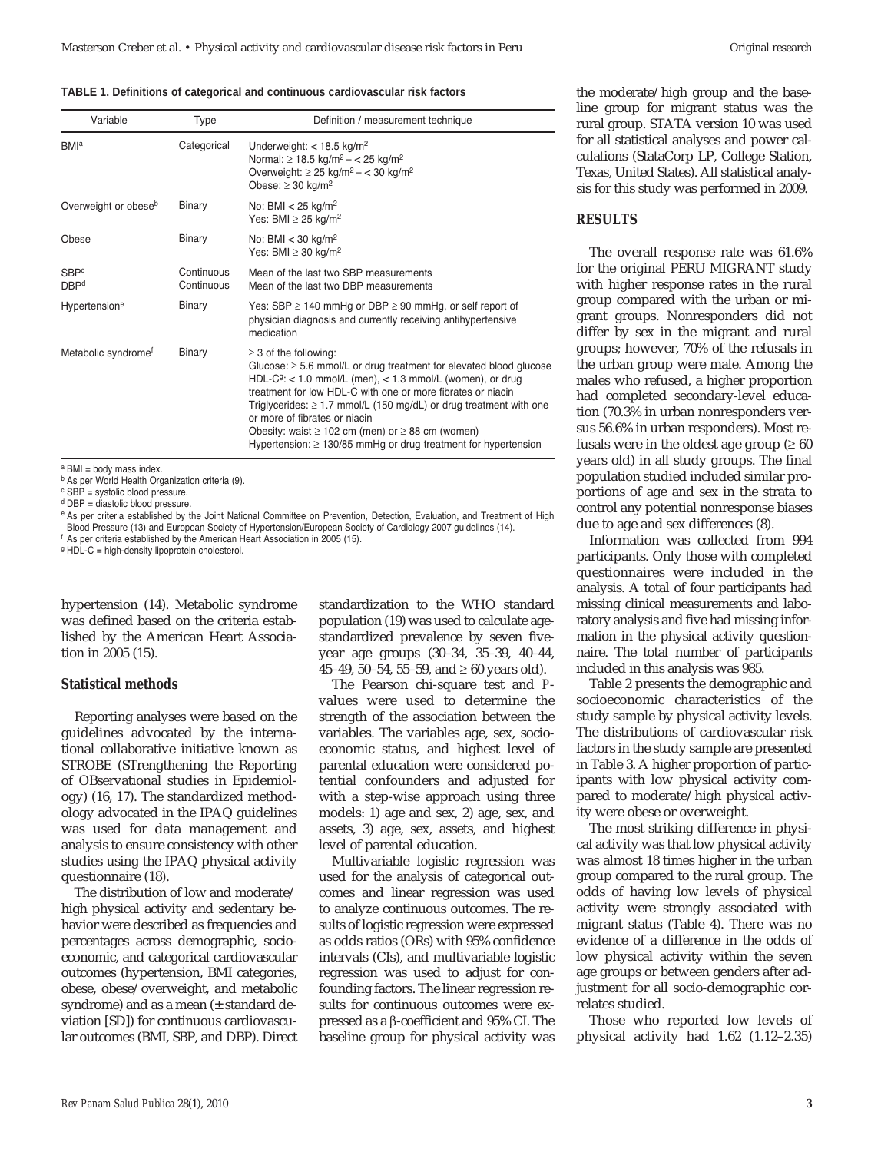#### **TABLE 1. Definitions of categorical and continuous cardiovascular risk factors**

| Variable                         | Type                     | Definition / measurement technique                                                                                                                                                                                                                                                                                                                                                                                                                                                              |
|----------------------------------|--------------------------|-------------------------------------------------------------------------------------------------------------------------------------------------------------------------------------------------------------------------------------------------------------------------------------------------------------------------------------------------------------------------------------------------------------------------------------------------------------------------------------------------|
| <b>BMI</b> <sup>a</sup>          | Categorical              | Underweight: $<$ 18.5 kg/m <sup>2</sup><br>Normal: $\geq 18.5 \text{ kg/m}^2 - < 25 \text{ kg/m}^2$<br>Overweight: $\geq$ 25 kg/m <sup>2</sup> – < 30 kg/m <sup>2</sup><br>Obese: $\geq$ 30 kg/m <sup>2</sup>                                                                                                                                                                                                                                                                                   |
| Overweight or obese <sup>b</sup> | Binary                   | No: BMI $<$ 25 kg/m <sup>2</sup><br>Yes: BMI $\geq$ 25 kg/m <sup>2</sup>                                                                                                                                                                                                                                                                                                                                                                                                                        |
| Obese                            | Binary                   | No: BMI $<$ 30 kg/m <sup>2</sup><br>Yes: BMI $\geq$ 30 kg/m <sup>2</sup>                                                                                                                                                                                                                                                                                                                                                                                                                        |
| <b>SBPc</b><br><b>DBPd</b>       | Continuous<br>Continuous | Mean of the last two SBP measurements<br>Mean of the last two DBP measurements                                                                                                                                                                                                                                                                                                                                                                                                                  |
| Hypertension <sup>e</sup>        | Binary                   | Yes: SBP $\geq$ 140 mmHg or DBP $\geq$ 90 mmHg, or self report of<br>physician diagnosis and currently receiving antihypertensive<br>medication                                                                                                                                                                                                                                                                                                                                                 |
| Metabolic syndrome <sup>f</sup>  | Binary                   | $\geq$ 3 of the following:<br>Glucose: $\geq$ 5.6 mmol/L or drug treatment for elevated blood glucose<br>HDL-C <sup>g</sup> : < 1.0 mmol/L (men), < 1.3 mmol/L (women), or drug<br>treatment for low HDL-C with one or more fibrates or niacin<br>Triglycerides: $\geq 1.7$ mmol/L (150 mg/dL) or drug treatment with one<br>or more of fibrates or niacin<br>Obesity: waist $\geq$ 102 cm (men) or $\geq$ 88 cm (women)<br>Hypertension: $\geq$ 130/85 mmHg or drug treatment for hypertension |

 $a$  BMI = body mass index.

b As per World Health Organization criteria (9).

<sup>c</sup> SBP = systolic blood pressure.

<sup>d</sup> DBP = diastolic blood pressure.

e As per criteria established by the Joint National Committee on Prevention, Detection, Evaluation, and Treatment of High Blood Pressure (13) and European Society of Hypertension/European Society of Cardiology 2007 guidelines (14).

<sup>f</sup> As per criteria established by the American Heart Association in 2005 (15).

<sup>g</sup> HDL-C = high-density lipoprotein cholesterol.

hypertension (14). Metabolic syndrome was defined based on the criteria established by the American Heart Association in 2005 (15).

#### **Statistical methods**

Reporting analyses were based on the guidelines advocated by the international collaborative initiative known as STROBE (STrengthening the Reporting of OBservational studies in Epidemiology) (16, 17). The standardized methodology advocated in the IPAQ guidelines was used for data management and analysis to ensure consistency with other studies using the IPAQ physical activity questionnaire (18).

The distribution of low and moderate/ high physical activity and sedentary behavior were described as frequencies and percentages across demographic, socioeconomic, and categorical cardiovascular outcomes (hypertension, BMI categories, obese, obese/overweight, and metabolic syndrome) and as a mean ( $\pm$  standard deviation [SD]) for continuous cardiovascular outcomes (BMI, SBP, and DBP). Direct standardization to the WHO standard population (19) was used to calculate agestandardized prevalence by seven fiveyear age groups (30–34, 35–39, 40–44, 45–49, 50–54, 55–59, and  $\geq 60$  years old).

The Pearson chi-square test and *P*values were used to determine the strength of the association between the variables. The variables age, sex, socioeconomic status, and highest level of parental education were considered potential confounders and adjusted for with a step-wise approach using three models: 1) age and sex, 2) age, sex, and assets, 3) age, sex, assets, and highest level of parental education.

Multivariable logistic regression was used for the analysis of categorical outcomes and linear regression was used to analyze continuous outcomes. The results of logistic regression were expressed as odds ratios (ORs) with 95% confidence intervals (CIs), and multivariable logistic regression was used to adjust for confounding factors. The linear regression results for continuous outcomes were expressed as a β-coefficient and 95% CI. The baseline group for physical activity was

the moderate/high group and the baseline group for migrant status was the rural group. STATA version 10 was used for all statistical analyses and power calculations (StataCorp LP, College Station, Texas, United States). All statistical analysis for this study was performed in 2009.

#### **RESULTS**

The overall response rate was 61.6% for the original PERU MIGRANT study with higher response rates in the rural group compared with the urban or migrant groups. Nonresponders did not differ by sex in the migrant and rural groups; however, 70% of the refusals in the urban group were male. Among the males who refused, a higher proportion had completed secondary-level education (70.3% in urban nonresponders versus 56.6% in urban responders). Most refusals were in the oldest age group ( $\geq 60$ years old) in all study groups. The final population studied included similar proportions of age and sex in the strata to control any potential nonresponse biases due to age and sex differences (8).

Information was collected from 994 participants. Only those with completed questionnaires were included in the analysis. A total of four participants had missing clinical measurements and laboratory analysis and five had missing information in the physical activity questionnaire. The total number of participants included in this analysis was 985.

Table 2 presents the demographic and socioeconomic characteristics of the study sample by physical activity levels. The distributions of cardiovascular risk factors in the study sample are presented in Table 3. A higher proportion of participants with low physical activity compared to moderate/high physical activity were obese or overweight.

The most striking difference in physical activity was that low physical activity was almost 18 times higher in the urban group compared to the rural group. The odds of having low levels of physical activity were strongly associated with migrant status (Table 4). There was no evidence of a difference in the odds of low physical activity within the seven age groups or between genders after adjustment for all socio-demographic correlates studied.

Those who reported low levels of physical activity had 1.62 (1.12–2.35)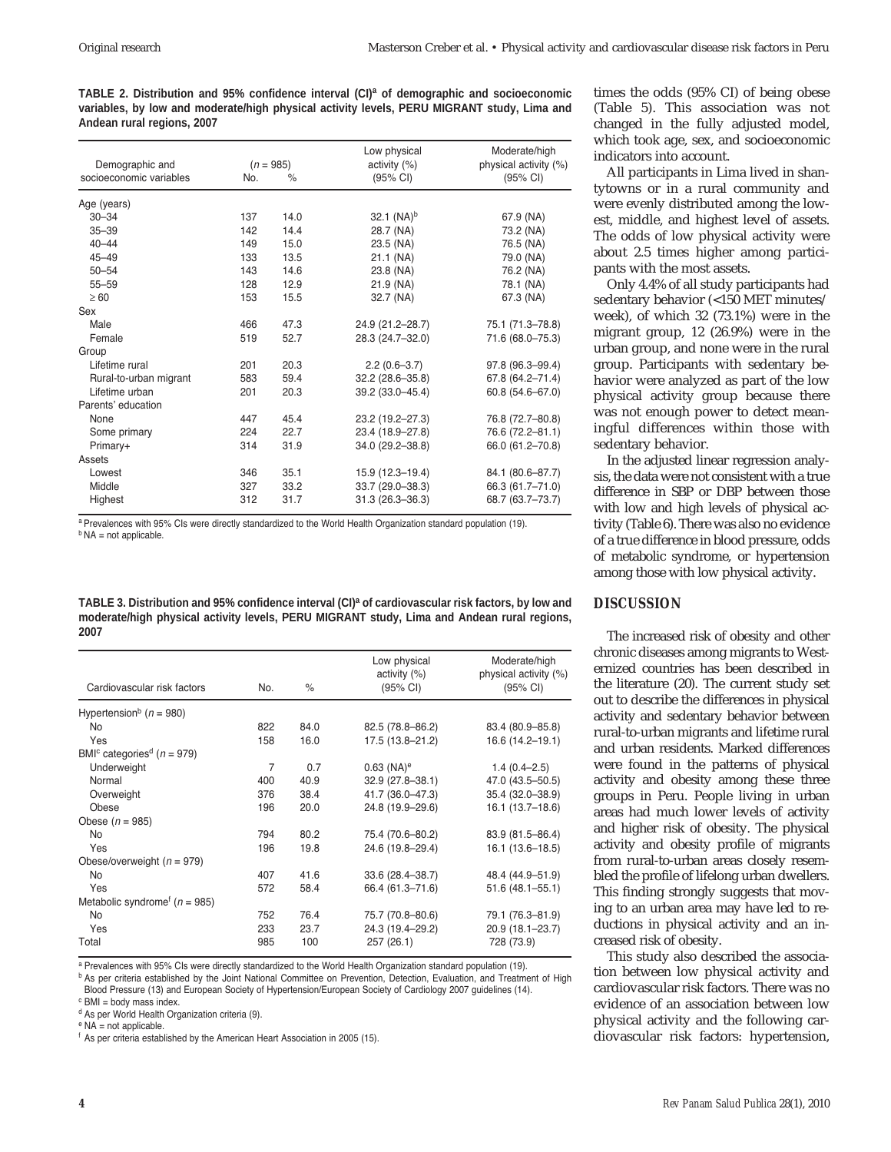**TABLE 2. Distribution and 95% confidence interval (CI)a of demographic and socioeconomic variables, by low and moderate/high physical activity levels, PERU MIGRANT study, Lima and Andean rural regions, 2007** 

|                         |     |             | Low physical        | Moderate/high         |
|-------------------------|-----|-------------|---------------------|-----------------------|
| Demographic and         |     | $(n = 985)$ | activity $(\%)$     | physical activity (%) |
| socioeconomic variables | No. | $\%$        | (95% CI)            | (95% CI)              |
| Age (years)             |     |             |                     |                       |
| $30 - 34$               | 137 | 14.0        | 32.1 $(NA)^b$       | 67.9 (NA)             |
| $35 - 39$               | 142 | 14.4        | 28.7 (NA)           | 73.2 (NA)             |
| $40 - 44$               | 149 | 15.0        | 23.5 (NA)           | 76.5 (NA)             |
| $45 - 49$               | 133 | 13.5        | 21.1 (NA)           | 79.0 (NA)             |
| $50 - 54$               | 143 | 14.6        | 23.8 (NA)           | 76.2 (NA)             |
| $55 - 59$               | 128 | 12.9        | 21.9 (NA)           | 78.1 (NA)             |
| $\geq 60$               | 153 | 15.5        | 32.7 (NA)           | 67.3 (NA)             |
| Sex                     |     |             |                     |                       |
| Male                    | 466 | 47.3        | 24.9 (21.2-28.7)    | 75.1 (71.3-78.8)      |
| Female                  | 519 | 52.7        | 28.3 (24.7-32.0)    | 71.6 (68.0-75.3)      |
| Group                   |     |             |                     |                       |
| Lifetime rural          | 201 | 20.3        | $2.2(0.6-3.7)$      | 97.8 (96.3-99.4)      |
| Rural-to-urban migrant  | 583 | 59.4        | 32.2 (28.6-35.8)    | 67.8 (64.2-71.4)      |
| Lifetime urban          | 201 | 20.3        | 39.2 (33.0-45.4)    | $60.8(54.6 - 67.0)$   |
| Parents' education      |     |             |                     |                       |
| None                    | 447 | 45.4        | 23.2 (19.2-27.3)    | 76.8 (72.7-80.8)      |
| Some primary            | 224 | 22.7        | 23.4 (18.9-27.8)    | 76.6 (72.2-81.1)      |
| Primary+                | 314 | 31.9        | 34.0 (29.2-38.8)    | 66.0 (61.2-70.8)      |
| Assets                  |     |             |                     |                       |
| Lowest                  | 346 | 35.1        | 15.9 (12.3-19.4)    | 84.1 (80.6-87.7)      |
| Middle                  | 327 | 33.2        | 33.7 (29.0-38.3)    | 66.3 (61.7-71.0)      |
| Highest                 | 312 | 31.7        | $31.3(26.3 - 36.3)$ | 68.7 (63.7-73.7)      |
|                         |     |             |                     |                       |

a Prevalences with 95% CIs were directly standardized to the World Health Organization standard population (19).  $<sup>b</sup> NA = not applicable.$ </sup>

**TABLE 3. Distribution and 95% confidence interval (CI)a of cardiovascular risk factors, by low and moderate/high physical activity levels, PERU MIGRANT study, Lima and Andean rural regions, 2007**

| Cardiovascular risk factors                            | No.            | ℅    | Low physical<br>activity $(%)$<br>(95% CI) | Moderate/high<br>physical activity (%)<br>(95% CI) |
|--------------------------------------------------------|----------------|------|--------------------------------------------|----------------------------------------------------|
| Hypertension <sup>b</sup> ( $n = 980$ )                |                |      |                                            |                                                    |
| <b>No</b>                                              | 822            | 84.0 | 82.5 (78.8-86.2)                           | 83.4 (80.9-85.8)                                   |
| Yes                                                    | 158            | 16.0 | 17.5 (13.8-21.2)                           | 16.6 (14.2-19.1)                                   |
| BMI <sup>c</sup> categories <sup>d</sup> ( $n = 979$ ) |                |      |                                            |                                                    |
| Underweight                                            | $\overline{7}$ | 0.7  | $0.63$ (NA) <sup>e</sup>                   | $1.4(0.4 - 2.5)$                                   |
| Normal                                                 | 400            | 40.9 | $32.9(27.8 - 38.1)$                        | 47.0 (43.5–50.5)                                   |
| Overweight                                             | 376            | 38.4 | 41.7 (36.0-47.3)                           | 35.4 (32.0-38.9)                                   |
| Obese                                                  | 196            | 20.0 | 24.8 (19.9-29.6)                           | $16.1(13.7-18.6)$                                  |
| Obese $(n = 985)$                                      |                |      |                                            |                                                    |
| <b>No</b>                                              | 794            | 80.2 | 75.4 (70.6-80.2)                           | 83.9 (81.5-86.4)                                   |
| Yes                                                    | 196            | 19.8 | 24.6 (19.8-29.4)                           | $16.1(13.6 - 18.5)$                                |
| Obese/overweight ( $n = 979$ )                         |                |      |                                            |                                                    |
| <b>No</b>                                              | 407            | 41.6 | 33.6 (28.4–38.7)                           | 48.4 (44.9-51.9)                                   |
| Yes                                                    | 572            | 58.4 | 66.4 (61.3-71.6)                           | $51.6(48.1 - 55.1)$                                |
| Metabolic syndrome <sup>f</sup> ( $n = 985$ )          |                |      |                                            |                                                    |
| <b>No</b>                                              | 752            | 76.4 | 75.7 (70.8-80.6)                           | 79.1 (76.3-81.9)                                   |
| Yes                                                    | 233            | 23.7 | 24.3 (19.4-29.2)                           | 20.9 (18.1-23.7)                                   |
| Total                                                  | 985            | 100  | 257 (26.1)                                 | 728 (73.9)                                         |

a Prevalences with 95% CIs were directly standardized to the World Health Organization standard population (19).

**b** As per criteria established by the Joint National Committee on Prevention, Detection, Evaluation, and Treatment of High Blood Pressure (13) and European Society of Hypertension/European Society of Cardiology 2007 guidelines (14).

 $c$  BMI = body mass index.

<sup>d</sup> As per World Health Organization criteria (9).

<sup>e</sup> NA = not applicable.

<sup>f</sup> As per criteria established by the American Heart Association in 2005 (15).

times the odds (95% CI) of being obese (Table 5). This association was not changed in the fully adjusted model, which took age, sex, and socioeconomic indicators into account.

All participants in Lima lived in shantytowns or in a rural community and were evenly distributed among the lowest, middle, and highest level of assets. The odds of low physical activity were about 2.5 times higher among participants with the most assets.

Only 4.4% of all study participants had sedentary behavior (<150 MET minutes/ week), of which 32 (73.1%) were in the migrant group, 12 (26.9%) were in the urban group, and none were in the rural group. Participants with sedentary behavior were analyzed as part of the low physical activity group because there was not enough power to detect meaningful differences within those with sedentary behavior.

In the adjusted linear regression analysis, the data were not consistent with a true difference in SBP or DBP between those with low and high levels of physical activity (Table 6). There was also no evidence of a true difference in blood pressure, odds of metabolic syndrome, or hypertension among those with low physical activity.

#### **DISCUSSION**

The increased risk of obesity and other chronic diseases among migrants to Westernized countries has been described in the literature (20). The current study set out to describe the differences in physical activity and sedentary behavior between rural-to-urban migrants and lifetime rural and urban residents. Marked differences were found in the patterns of physical activity and obesity among these three groups in Peru. People living in urban areas had much lower levels of activity and higher risk of obesity. The physical activity and obesity profile of migrants from rural-to-urban areas closely resembled the profile of lifelong urban dwellers. This finding strongly suggests that moving to an urban area may have led to reductions in physical activity and an increased risk of obesity.

This study also described the association between low physical activity and cardiovascular risk factors. There was no evidence of an association between low physical activity and the following cardiovascular risk factors: hypertension,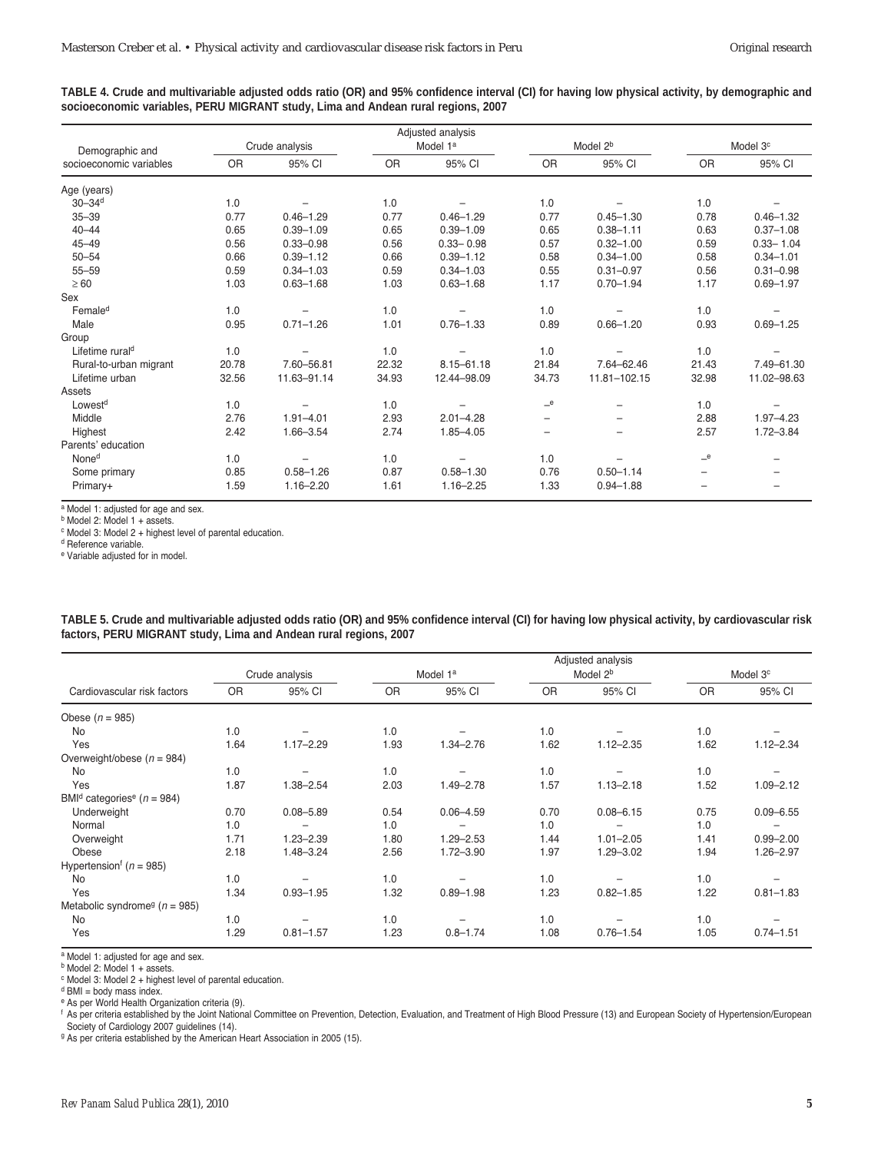| TABLE 4. Crude and multivariable adjusted odds ratio (OR) and 95% confidence interval (CI) for having low physical activity, by demographic and |  |  |
|-------------------------------------------------------------------------------------------------------------------------------------------------|--|--|
| socioeconomic variables, PERU MIGRANT study, Lima and Andean rural regions, 2007                                                                |  |  |

|                             |                |               |           | Adjusted analysis    |                          |                          |                          |                      |  |
|-----------------------------|----------------|---------------|-----------|----------------------|--------------------------|--------------------------|--------------------------|----------------------|--|
| Demographic and             | Crude analysis |               |           | Model 1 <sup>a</sup> |                          | Model 2 <sup>b</sup>     |                          | Model 3 <sup>c</sup> |  |
| socioeconomic variables     | <b>OR</b>      | 95% CI        | <b>OR</b> | 95% CI               | <b>OR</b>                | 95% CI                   | OR                       | 95% CI               |  |
| Age (years)                 |                |               |           |                      |                          |                          |                          |                      |  |
| $30 - 34$ <sup>d</sup>      | 1.0            |               | 1.0       |                      | 1.0                      |                          | 1.0                      |                      |  |
| $35 - 39$                   | 0.77           | $0.46 - 1.29$ | 0.77      | $0.46 - 1.29$        | 0.77                     | $0.45 - 1.30$            | 0.78                     | $0.46 - 1.32$        |  |
| $40 - 44$                   | 0.65           | $0.39 - 1.09$ | 0.65      | $0.39 - 1.09$        | 0.65                     | $0.38 - 1.11$            | 0.63                     | $0.37 - 1.08$        |  |
| $45 - 49$                   | 0.56           | $0.33 - 0.98$ | 0.56      | $0.33 - 0.98$        | 0.57                     | $0.32 - 1.00$            | 0.59                     | $0.33 - 1.04$        |  |
| $50 - 54$                   | 0.66           | $0.39 - 1.12$ | 0.66      | $0.39 - 1.12$        | 0.58                     | $0.34 - 1.00$            | 0.58                     | $0.34 - 1.01$        |  |
| $55 - 59$                   | 0.59           | $0.34 - 1.03$ | 0.59      | $0.34 - 1.03$        | 0.55                     | $0.31 - 0.97$            | 0.56                     | $0.31 - 0.98$        |  |
| $\geq 60$                   | 1.03           | $0.63 - 1.68$ | 1.03      | $0.63 - 1.68$        | 1.17                     | $0.70 - 1.94$            | 1.17                     | $0.69 - 1.97$        |  |
| Sex                         |                |               |           |                      |                          |                          |                          |                      |  |
| Female <sup>d</sup>         | 1.0            |               | 1.0       |                      | 1.0                      |                          | 1.0                      |                      |  |
| Male                        | 0.95           | $0.71 - 1.26$ | 1.01      | $0.76 - 1.33$        | 0.89                     | $0.66 - 1.20$            | 0.93                     | $0.69 - 1.25$        |  |
| Group                       |                |               |           |                      |                          |                          |                          |                      |  |
| Lifetime rural <sup>d</sup> | 1.0            |               | 1.0       |                      | 1.0                      |                          | 1.0                      |                      |  |
| Rural-to-urban migrant      | 20.78          | 7.60-56.81    | 22.32     | $8.15 - 61.18$       | 21.84                    | 7.64-62.46               | 21.43                    | 7.49-61.30           |  |
| Lifetime urban              | 32.56          | 11.63-91.14   | 34.93     | 12.44-98.09          | 34.73                    | 11.81-102.15             | 32.98                    | 11.02-98.63          |  |
| Assets                      |                |               |           |                      |                          |                          |                          |                      |  |
| Lowest <sup>d</sup>         | 1.0            |               | 1.0       |                      | e                        |                          | 1.0                      |                      |  |
| Middle                      | 2.76           | $1.91 - 4.01$ | 2.93      | $2.01 - 4.28$        |                          | $\overline{\phantom{0}}$ | 2.88                     | $1.97 - 4.23$        |  |
| Highest                     | 2.42           | $1.66 - 3.54$ | 2.74      | $1.85 - 4.05$        | $\overline{\phantom{m}}$ | $\overline{\phantom{0}}$ | 2.57                     | $1.72 - 3.84$        |  |
| Parents' education          |                |               |           |                      |                          |                          |                          |                      |  |
| None <sup>d</sup>           | 1.0            |               | 1.0       |                      | 1.0                      |                          | e                        |                      |  |
| Some primary                | 0.85           | $0.58 - 1.26$ | 0.87      | $0.58 - 1.30$        | 0.76                     | $0.50 - 1.14$            | $\overline{\phantom{m}}$ |                      |  |
| Primary+                    | 1.59           | $1.16 - 2.20$ | 1.61      | $1.16 - 2.25$        | 1.33                     | $0.94 - 1.88$            |                          |                      |  |

a Model 1: adjusted for age and sex.

<sup>b</sup> Model 2: Model 1 + assets.

<sup>c</sup> Model 3: Model 2 + highest level of parental education.

<sup>d</sup> Reference variable.

<sup>e</sup> Variable adjusted for in model.

|                                                        | Crude analysis |               | Model 1 <sup>a</sup> |               | Adjusted analysis<br>Model 2 <sup>b</sup> |               | Model 3 <sup>c</sup> |               |
|--------------------------------------------------------|----------------|---------------|----------------------|---------------|-------------------------------------------|---------------|----------------------|---------------|
| Cardiovascular risk factors                            | <b>OR</b>      | 95% CI        | <b>OR</b>            | 95% CI        | <b>OR</b>                                 | 95% CI        | <b>OR</b>            | 95% CI        |
| Obese $(n = 985)$                                      |                |               |                      |               |                                           |               |                      |               |
| No                                                     | 1.0            |               | 1.0                  |               | 1.0                                       |               | 1.0                  |               |
| Yes                                                    | 1.64           | $1.17 - 2.29$ | 1.93                 | $1.34 - 2.76$ | 1.62                                      | $1.12 - 2.35$ | 1.62                 | $1.12 - 2.34$ |
| Overweight/obese ( $n = 984$ )                         |                |               |                      |               |                                           |               |                      |               |
| <b>No</b>                                              | 1.0            |               | 1.0                  |               | 1.0                                       |               | 1.0                  |               |
| Yes                                                    | 1.87           | $1.38 - 2.54$ | 2.03                 | $1.49 - 2.78$ | 1.57                                      | $1.13 - 2.18$ | 1.52                 | $1.09 - 2.12$ |
| BMI <sup>d</sup> categories <sup>e</sup> ( $n = 984$ ) |                |               |                      |               |                                           |               |                      |               |
| Underweight                                            | 0.70           | $0.08 - 5.89$ | 0.54                 | $0.06 - 4.59$ | 0.70                                      | $0.08 - 6.15$ | 0.75                 | $0.09 - 6.55$ |
| Normal                                                 | 1.0            |               | 1.0                  |               | 1.0                                       |               | 1.0                  |               |
| Overweight                                             | 1.71           | $1.23 - 2.39$ | 1.80                 | $1.29 - 2.53$ | 1.44                                      | $1.01 - 2.05$ | 1.41                 | $0.99 - 2.00$ |
| Obese                                                  | 2.18           | $1.48 - 3.24$ | 2.56                 | $1.72 - 3.90$ | 1.97                                      | $1.29 - 3.02$ | 1.94                 | $1.26 - 2.97$ |
| Hypertension <sup>f</sup> ( $n = 985$ )                |                |               |                      |               |                                           |               |                      |               |
| <b>No</b>                                              | 1.0            |               | 1.0                  |               | 1.0                                       |               | 1.0                  |               |
| Yes                                                    | 1.34           | $0.93 - 1.95$ | 1.32                 | $0.89 - 1.98$ | 1.23                                      | $0.82 - 1.85$ | 1.22                 | $0.81 - 1.83$ |
| Metabolic syndrome <sup>g</sup> ( $n = 985$ )          |                |               |                      |               |                                           |               |                      |               |
| <b>No</b>                                              | 1.0            |               | 1.0                  |               | 1.0                                       |               | 1.0                  |               |
| Yes                                                    | 1.29           | $0.81 - 1.57$ | 1.23                 | $0.8 - 1.74$  | 1.08                                      | $0.76 - 1.54$ | 1.05                 | $0.74 - 1.51$ |

| TABLE 5. Crude and multivariable adjusted odds ratio (OR) and 95% confidence interval (CI) for having low physical activity, by cardiovascular risk |  |
|-----------------------------------------------------------------------------------------------------------------------------------------------------|--|
| factors, PERU MIGRANT study, Lima and Andean rural regions, 2007                                                                                    |  |

<sup>a</sup> Model 1: adjusted for age and sex.

<sup>b</sup> Model 2: Model 1 + assets.

<sup>c</sup> Model 3: Model 2 + highest level of parental education.

 $d$  BMI = body mass index.

<sup>e</sup> As per World Health Organization criteria (9).

<sup>f</sup> As per criteria established by the Joint National Committee on Prevention, Detection, Evaluation, and Treatment of High Blood Pressure (13) and European Society of Hypertension/European Society of Cardiology 2007 guidelines (14).<br><sup>g</sup> As per criteria established by the American Heart Association in 2005 (15).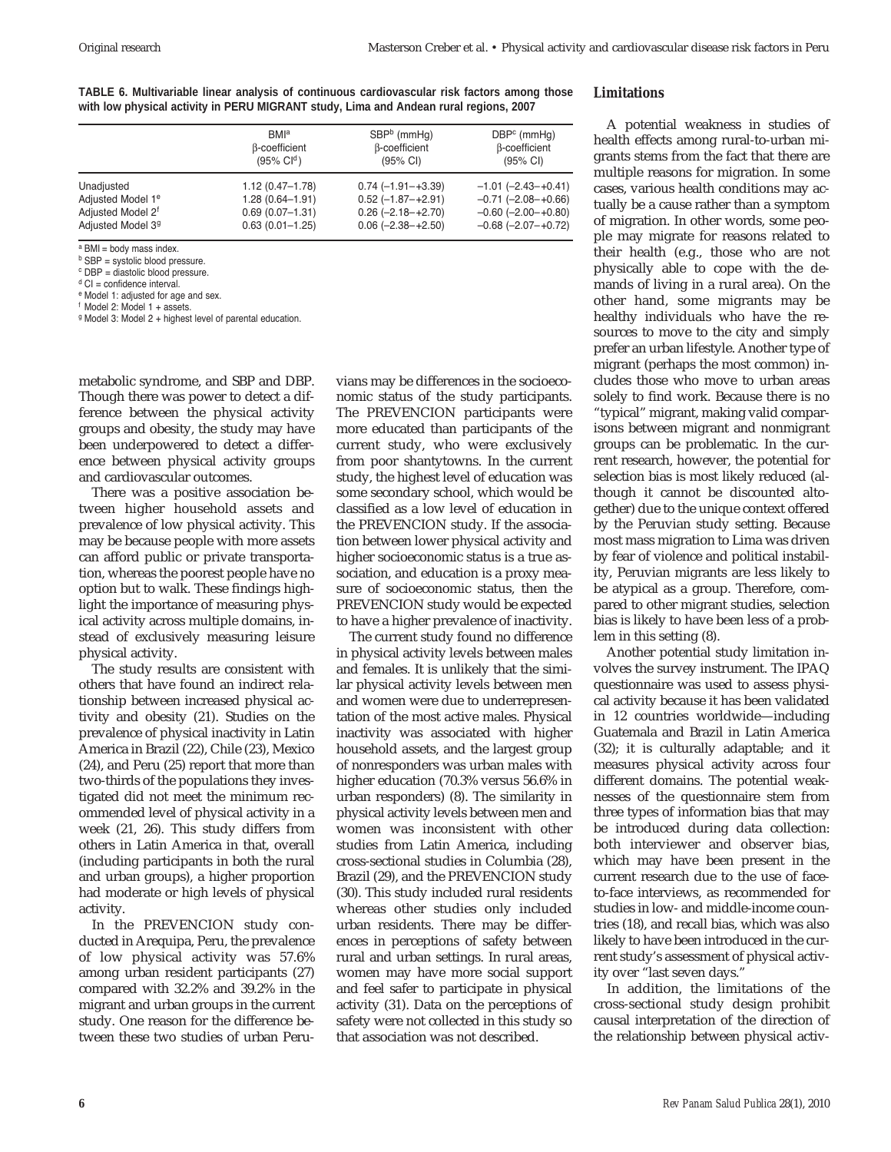**TABLE 6. Multivariable linear analysis of continuous cardiovascular risk factors among those with low physical activity in PERU MIGRANT study, Lima and Andean rural regions, 2007**

|                               | <b>BMI</b> <sup>a</sup> | $SBPb$ (mmHq)          | $DBPc$ (mmHq)             |
|-------------------------------|-------------------------|------------------------|---------------------------|
|                               | <b>B-coefficient</b>    | <b>B-coefficient</b>   | β-coefficient             |
|                               | $(95\% \text{ Cl}^d)$   | $(95% \text{ Cl})$     | $(95% \text{ Cl})$        |
| Unadjusted                    | $1.12(0.47 - 1.78)$     | $0.74(-1.91 - +3.39)$  | $-1.01$ $(-2.43 - +0.41)$ |
| Adjusted Model 1 <sup>e</sup> | $1.28(0.64 - 1.91)$     | $0.52$ (-1.87-+2.91)   | $-0.71$ $(-2.08 - +0.66)$ |
| Adjusted Model 2 <sup>f</sup> | $0.69(0.07 - 1.31)$     | $0.26$ (-2.18 - +2.70) | $-0.60$ $(-2.00 - +0.80)$ |
| Adjusted Model 3 <sup>9</sup> | $0.63(0.01 - 1.25)$     | $0.06$ (-2.38-+2.50)   | $-0.68$ $(-2.07 - +0.72)$ |

a BMI = body mass index.

 $<sup>b</sup>$  SBP = systolic blood pressure.</sup>

<sup>c</sup> DBP = diastolic blood pressure.

 $d$  CI = confidence interval. <sup>e</sup> Model 1: adjusted for age and sex.

<sup>f</sup> Model 2: Model 1 + assets.

<sup>g</sup> Model 3: Model 2 + highest level of parental education.

metabolic syndrome, and SBP and DBP. Though there was power to detect a difference between the physical activity groups and obesity, the study may have been underpowered to detect a difference between physical activity groups and cardiovascular outcomes.

There was a positive association between higher household assets and prevalence of low physical activity. This may be because people with more assets can afford public or private transportation, whereas the poorest people have no option but to walk. These findings highlight the importance of measuring physical activity across multiple domains, instead of exclusively measuring leisure physical activity.

The study results are consistent with others that have found an indirect relationship between increased physical activity and obesity (21). Studies on the prevalence of physical inactivity in Latin America in Brazil (22), Chile (23), Mexico (24), and Peru (25) report that more than two-thirds of the populations they investigated did not meet the minimum recommended level of physical activity in a week (21, 26). This study differs from others in Latin America in that, overall (including participants in both the rural and urban groups), a higher proportion had moderate or high levels of physical activity.

In the PREVENCION study conducted in Arequipa, Peru, the prevalence of low physical activity was 57.6% among urban resident participants (27) compared with 32.2% and 39.2% in the migrant and urban groups in the current study. One reason for the difference between these two studies of urban Peruvians may be differences in the socioeconomic status of the study participants. The PREVENCION participants were more educated than participants of the current study, who were exclusively from poor shantytowns. In the current study, the highest level of education was some secondary school, which would be classified as a low level of education in the PREVENCION study. If the association between lower physical activity and higher socioeconomic status is a true association, and education is a proxy measure of socioeconomic status, then the PREVENCION study would be expected to have a higher prevalence of inactivity.

The current study found no difference in physical activity levels between males and females. It is unlikely that the similar physical activity levels between men and women were due to underrepresentation of the most active males. Physical inactivity was associated with higher household assets, and the largest group of nonresponders was urban males with higher education (70.3% versus 56.6% in urban responders) (8). The similarity in physical activity levels between men and women was inconsistent with other studies from Latin America, including cross-sectional studies in Columbia (28), Brazil (29), and the PREVENCION study (30). This study included rural residents whereas other studies only included urban residents. There may be differences in perceptions of safety between rural and urban settings. In rural areas, women may have more social support and feel safer to participate in physical activity (31). Data on the perceptions of safety were not collected in this study so that association was not described.

#### **Limitations**

A potential weakness in studies of health effects among rural-to-urban migrants stems from the fact that there are multiple reasons for migration. In some cases, various health conditions may actually be a cause rather than a symptom of migration. In other words, some people may migrate for reasons related to their health (e.g., those who are not physically able to cope with the demands of living in a rural area). On the other hand, some migrants may be healthy individuals who have the resources to move to the city and simply prefer an urban lifestyle. Another type of migrant (perhaps the most common) includes those who move to urban areas solely to find work. Because there is no "typical" migrant, making valid comparisons between migrant and nonmigrant groups can be problematic. In the current research, however, the potential for selection bias is most likely reduced (although it cannot be discounted altogether) due to the unique context offered by the Peruvian study setting. Because most mass migration to Lima was driven by fear of violence and political instability, Peruvian migrants are less likely to be atypical as a group. Therefore, compared to other migrant studies, selection bias is likely to have been less of a problem in this setting (8).

Another potential study limitation involves the survey instrument. The IPAQ questionnaire was used to assess physical activity because it has been validated in 12 countries worldwide—including Guatemala and Brazil in Latin America (32); it is culturally adaptable; and it measures physical activity across four different domains. The potential weaknesses of the questionnaire stem from three types of information bias that may be introduced during data collection: both interviewer and observer bias, which may have been present in the current research due to the use of faceto-face interviews, as recommended for studies in low- and middle-income countries (18), and recall bias, which was also likely to have been introduced in the current study's assessment of physical activity over "last seven days."

In addition, the limitations of the cross-sectional study design prohibit causal interpretation of the direction of the relationship between physical activ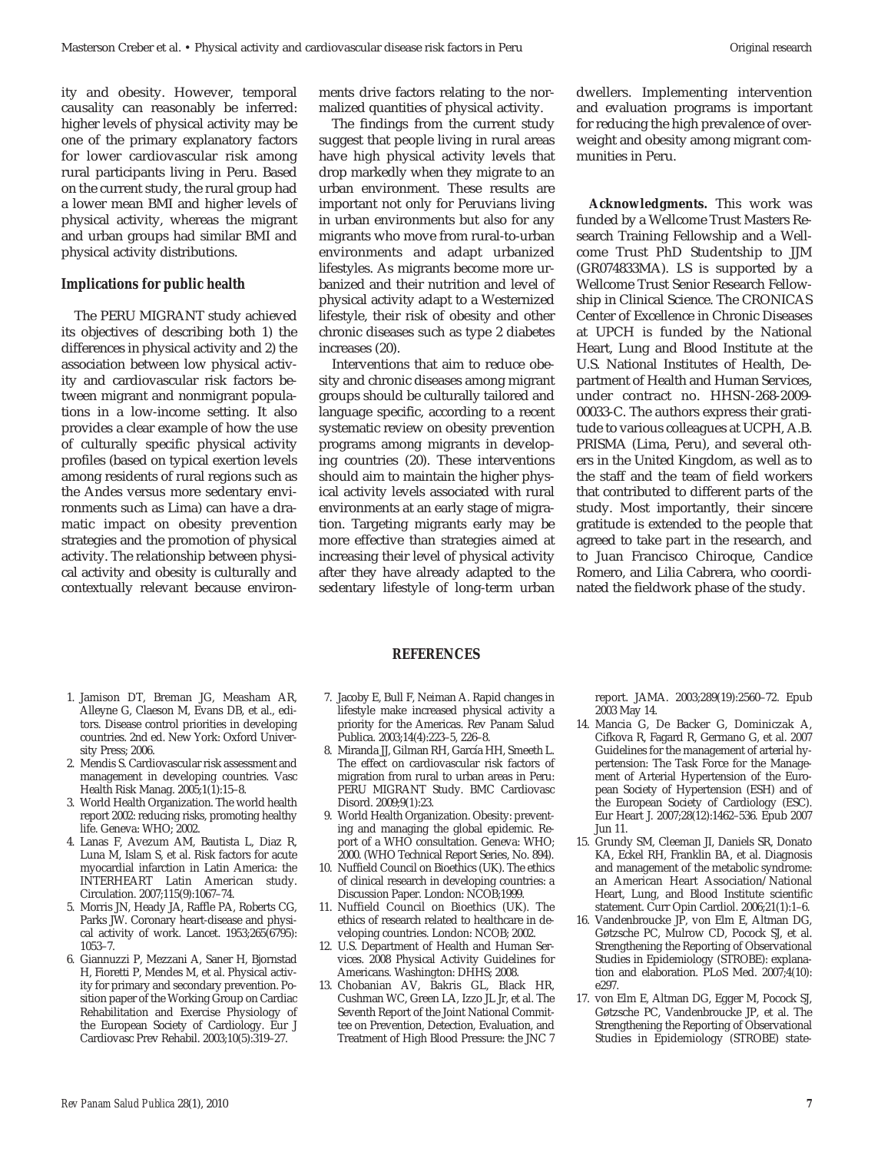ity and obesity. However, temporal causality can reasonably be inferred: higher levels of physical activity may be one of the primary explanatory factors for lower cardiovascular risk among rural participants living in Peru. Based on the current study, the rural group had a lower mean BMI and higher levels of physical activity, whereas the migrant and urban groups had similar BMI and physical activity distributions.

#### **Implications for public health**

The PERU MIGRANT study achieved its objectives of describing both 1) the differences in physical activity and 2) the association between low physical activity and cardiovascular risk factors between migrant and nonmigrant populations in a low-income setting. It also provides a clear example of how the use of culturally specific physical activity profiles (based on typical exertion levels among residents of rural regions such as the Andes versus more sedentary environments such as Lima) can have a dramatic impact on obesity prevention strategies and the promotion of physical activity. The relationship between physical activity and obesity is culturally and contextually relevant because environments drive factors relating to the normalized quantities of physical activity.

The findings from the current study suggest that people living in rural areas have high physical activity levels that drop markedly when they migrate to an urban environment. These results are important not only for Peruvians living in urban environments but also for any migrants who move from rural-to-urban environments and adapt urbanized lifestyles. As migrants become more urbanized and their nutrition and level of physical activity adapt to a Westernized lifestyle, their risk of obesity and other chronic diseases such as type 2 diabetes increases (20).

Interventions that aim to reduce obesity and chronic diseases among migrant groups should be culturally tailored and language specific, according to a recent systematic review on obesity prevention programs among migrants in developing countries (20). These interventions should aim to maintain the higher physical activity levels associated with rural environments at an early stage of migration. Targeting migrants early may be more effective than strategies aimed at increasing their level of physical activity after they have already adapted to the sedentary lifestyle of long-term urban

dwellers. Implementing intervention and evaluation programs is important for reducing the high prevalence of overweight and obesity among migrant communities in Peru.

**Acknowledgments.** This work was funded by a Wellcome Trust Masters Research Training Fellowship and a Wellcome Trust PhD Studentship to JJM (GR074833MA). LS is supported by a Wellcome Trust Senior Research Fellowship in Clinical Science. The CRONICAS Center of Excellence in Chronic Diseases at UPCH is funded by the National Heart, Lung and Blood Institute at the U.S. National Institutes of Health, Department of Health and Human Services, under contract no. HHSN-268-2009- 00033-C. The authors express their gratitude to various colleagues at UCPH, A.B. PRISMA (Lima, Peru), and several others in the United Kingdom, as well as to the staff and the team of field workers that contributed to different parts of the study. Most importantly, their sincere gratitude is extended to the people that agreed to take part in the research, and to Juan Francisco Chiroque, Candice Romero, and Lilia Cabrera, who coordinated the fieldwork phase of the study.

#### **REFERENCES**

- 1. Jamison DT, Breman JG, Measham AR, Alleyne G, Claeson M, Evans DB, et al., editors. Disease control priorities in developing countries. 2nd ed. New York: Oxford University Press: 2006
- 2. Mendis S. Cardiovascular risk assessment and management in developing countries. Vasc Health Risk Manag. 2005;1(1):15-8.
- 3. World Health Organization. The world health report 2002: reducing risks, promoting healthy life. Geneva: WHO; 2002.
- 4. Lanas F, Avezum AM, Bautista L, Diaz R, Luna M, Islam S, et al. Risk factors for acute myocardial infarction in Latin America: the INTERHEART Latin American study. Circulation. 2007;115(9):1067–74.
- 5. Morris JN, Heady JA, Raffle PA, Roberts CG, Parks JW. Coronary heart-disease and physical activity of work. Lancet.  $1953;265(6795)$ : 1053–7.
- 6. Giannuzzi P, Mezzani A, Saner H, Bjornstad H, Fioretti P, Mendes M, et al. Physical activity for primary and secondary prevention. Position paper of the Working Group on Cardiac Rehabilitation and Exercise Physiology of the European Society of Cardiology. Eur J Cardiovasc Prev Rehabil. 2003;10(5):319–27.
- 7. Jacoby E, Bull F, Neiman A. Rapid changes in lifestyle make increased physical activity a priority for the Americas. Rev Panam Salud Publica. 2003;14(4):223–5, 226–8.
- 8. Miranda II, Gilman RH, García HH, Smeeth L. The effect on cardiovascular risk factors of migration from rural to urban areas in Peru: PERU MIGRANT Study. BMC Cardiovasc Disord. 2009;9(1):23.
- 9. World Health Organization. Obesity: preventing and managing the global epidemic. Report of a WHO consultation. Geneva: WHO; 2000. (WHO Technical Report Series, No. 894).
- 10. Nuffield Council on Bioethics (UK). The ethics of clinical research in developing countries: a Discussion Paper. London: NCOB;1999.
- 11. Nuffield Council on Bioethics (UK). The ethics of research related to healthcare in developing countries. London: NCOB; 2002.
- 12. U.S. Department of Health and Human Services. 2008 Physical Activity Guidelines for Americans. Washington: DHHS: 2008.
- 13. Chobanian AV, Bakris GL, Black HR, Cushman WC, Green LA, Izzo JL Jr, et al. The Seventh Report of the Joint National Committee on Prevention, Detection, Evaluation, and Treatment of High Blood Pressure: the JNC 7

report. JAMA. 2003;289(19):2560–72. Epub 2003 May 14.

- 14. Mancia G, De Backer G, Dominiczak A, Cifkova R, Fagard R, Germano G, et al. 2007 Guidelines for the management of arterial hypertension: The Task Force for the Management of Arterial Hypertension of the European Society of Hypertension (ESH) and of the European Society of Cardiology (ESC). Eur Heart J. 2007;28(12):1462–536. Epub 2007 Jun 11.
- 15. Grundy SM, Cleeman JI, Daniels SR, Donato KA, Eckel RH, Franklin BA, et al. Diagnosis and management of the metabolic syndrome: an American Heart Association/National Heart, Lung, and Blood Institute scientific statement. Curr Opin Cardiol. 2006;21(1):1–6.
- 16. Vandenbroucke JP, von Elm E, Altman DG, Gøtzsche PC, Mulrow CD, Pocock SJ, et al. Strengthening the Reporting of Observational Studies in Epidemiology (STROBE): explanation and elaboration. PLoS Med. 2007;4(10): e297.
- 17. von Elm E, Altman DG, Egger M, Pocock SJ, Gøtzsche PC, Vandenbroucke JP, et al. The Strengthening the Reporting of Observational Studies in Epidemiology (STROBE) state-